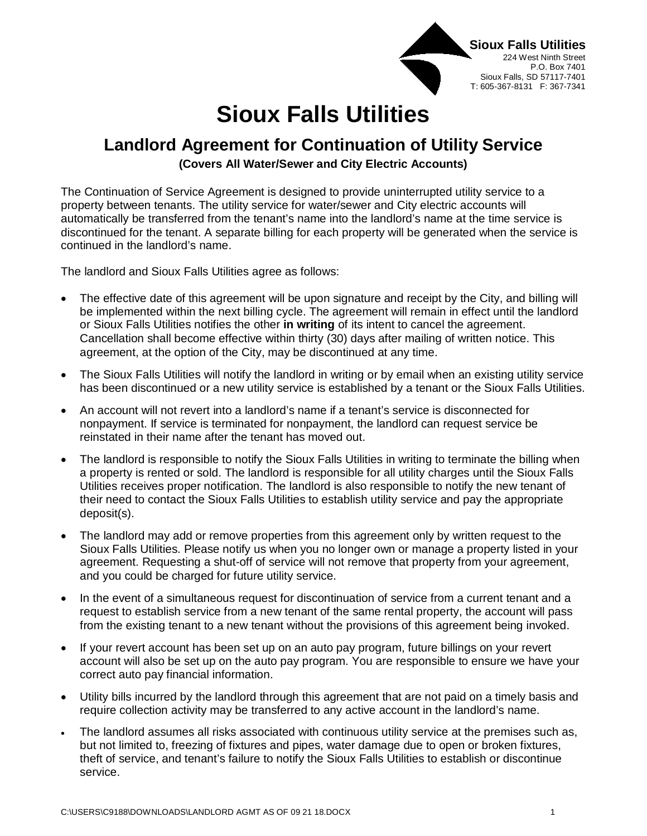

## **Sioux Falls Utilities**

## **Landlord Agreement for Continuation of Utility Service**

**(Covers All Water/Sewer and City Electric Accounts)**

The Continuation of Service Agreement is designed to provide uninterrupted utility service to a property between tenants. The utility service for water/sewer and City electric accounts will automatically be transferred from the tenant's name into the landlord's name at the time service is discontinued for the tenant. A separate billing for each property will be generated when the service is continued in the landlord's name.

The landlord and Sioux Falls Utilities agree as follows:

- The effective date of this agreement will be upon signature and receipt by the City, and billing will be implemented within the next billing cycle. The agreement will remain in effect until the landlord or Sioux Falls Utilities notifies the other **in writing** of its intent to cancel the agreement. Cancellation shall become effective within thirty (30) days after mailing of written notice. This agreement, at the option of the City, may be discontinued at any time.
- The Sioux Falls Utilities will notify the landlord in writing or by email when an existing utility service has been discontinued or a new utility service is established by a tenant or the Sioux Falls Utilities.
- An account will not revert into a landlord's name if a tenant's service is disconnected for nonpayment. If service is terminated for nonpayment, the landlord can request service be reinstated in their name after the tenant has moved out.
- The landlord is responsible to notify the Sioux Falls Utilities in writing to terminate the billing when a property is rented or sold. The landlord is responsible for all utility charges until the Sioux Falls Utilities receives proper notification. The landlord is also responsible to notify the new tenant of their need to contact the Sioux Falls Utilities to establish utility service and pay the appropriate deposit(s).
- The landlord may add or remove properties from this agreement only by written request to the Sioux Falls Utilities. Please notify us when you no longer own or manage a property listed in your agreement. Requesting a shut-off of service will not remove that property from your agreement, and you could be charged for future utility service.
- In the event of a simultaneous request for discontinuation of service from a current tenant and a request to establish service from a new tenant of the same rental property, the account will pass from the existing tenant to a new tenant without the provisions of this agreement being invoked.
- If your revert account has been set up on an auto pay program, future billings on your revert account will also be set up on the auto pay program. You are responsible to ensure we have your correct auto pay financial information.
- Utility bills incurred by the landlord through this agreement that are not paid on a timely basis and require collection activity may be transferred to any active account in the landlord's name.
- The landlord assumes all risks associated with continuous utility service at the premises such as, but not limited to, freezing of fixtures and pipes, water damage due to open or broken fixtures, theft of service, and tenant's failure to notify the Sioux Falls Utilities to establish or discontinue service.